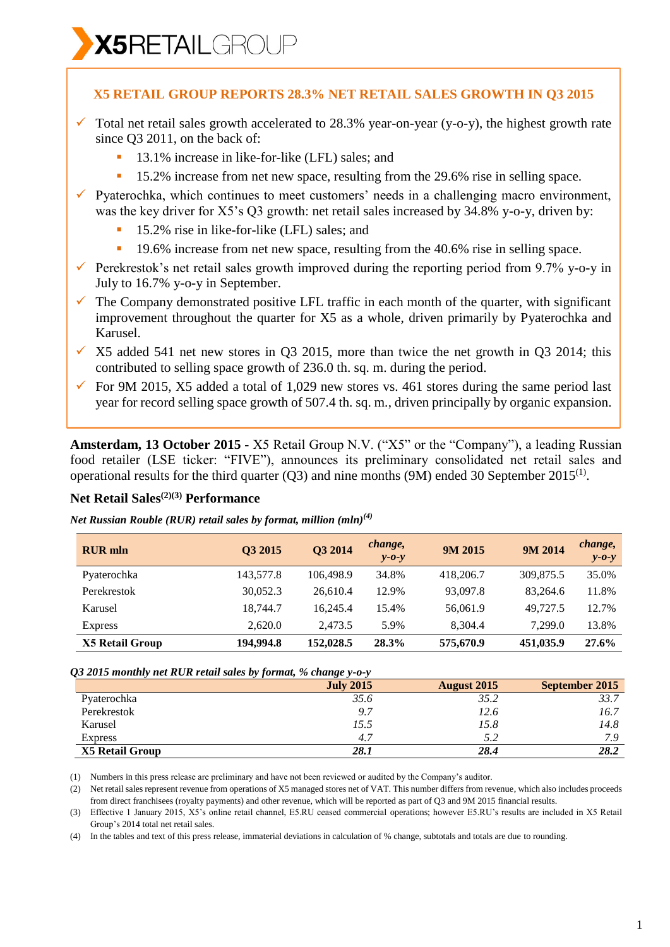÷

## **X5 RETAIL GROUP REPORTS 28.3% NET RETAIL SALES GROWTH IN Q3 2015**

- $\checkmark$  Total net retail sales growth accelerated to 28.3% year-on-year (y-o-y), the highest growth rate since Q3 2011, on the back of:
	- 13.1% increase in like-for-like (LFL) sales; and
	- 15.2% increase from net new space, resulting from the 29.6% rise in selling space.
- $\checkmark$  Pyaterochka, which continues to meet customers' needs in a challenging macro environment, was the key driver for X5's Q3 growth: net retail sales increased by 34.8% y-o-y, driven by:
	- <sup>1</sup> 15.2% rise in like-for-like (LFL) sales; and
	- <sup>1</sup> 19.6% increase from net new space, resulting from the 40.6% rise in selling space.
- Perekrestok's net retail sales growth improved during the reporting period from 9.7% y-o-y in July to 16.7% y-o-y in September.
- $\checkmark$  The Company demonstrated positive LFL traffic in each month of the quarter, with significant improvement throughout the quarter for X5 as a whole, driven primarily by Pyaterochka and Karusel.
- $\times$  X5 added 541 net new stores in O3 2015, more than twice the net growth in O3 2014; this contributed to selling space growth of 236.0 th. sq. m. during the period.
- $\checkmark$  For 9M 2015, X5 added a total of 1,029 new stores vs. 461 stores during the same period last year for record selling space growth of 507.4 th. sq. m., driven principally by organic expansion.

**Amsterdam, 13 October 2015 -** X5 Retail Group N.V. ("X5" or the "Company"), a leading Russian food retailer (LSE ticker: "FIVE"), announces its preliminary consolidated net retail sales and operational results for the third quarter (Q3) and nine months (9M) ended 30 September 2015<sup>(1)</sup>.

# **Net Retail Sales(2)(3) Performance**

*Net Russian Rouble (RUR) retail sales by format, million (mln)(4)*

| <b>RUR</b> mln         | Q3 2015   | Q3 2014   | change,<br>$y - 0 - y$ | 9M 2015   | 9M 2014   | change,<br>$y - 0 - y$ |
|------------------------|-----------|-----------|------------------------|-----------|-----------|------------------------|
| Pyaterochka            | 143,577.8 | 106.498.9 | 34.8%                  | 418,206.7 | 309,875.5 | 35.0%                  |
| Perekrestok            | 30,052.3  | 26,610.4  | 12.9%                  | 93,097.8  | 83.264.6  | 11.8%                  |
| Karusel                | 18.744.7  | 16.245.4  | 15.4%                  | 56,061.9  | 49,727.5  | 12.7%                  |
| <b>Express</b>         | 2.620.0   | 2.473.5   | 5.9%                   | 8.304.4   | 7.299.0   | 13.8%                  |
| <b>X5 Retail Group</b> | 194,994.8 | 152,028.5 | 28.3%                  | 575,670.9 | 451,035.9 | 27.6%                  |

### *Q3 2015 monthly net RUR retail sales by format, % change y-o-y*

|                        | <u>.</u><br>$\cdot$ |                    |                |
|------------------------|---------------------|--------------------|----------------|
|                        | <b>July 2015</b>    | <b>August</b> 2015 | September 2015 |
| Pyaterochka            | 35.6                | 35.2               | 33.7           |
| Perekrestok            | 9.7                 | 12.6               | 16.7           |
| Karusel                | 15.5                | 15.8               | 14.8           |
| <b>Express</b>         | 4.7                 | 5.2                | 7 Q            |
| <b>X5 Retail Group</b> | 28.1                | 28.4               | 28.2           |

(1) Numbers in this press release are preliminary and have not been reviewed or audited by the Company's auditor.

(2) Net retail sales represent revenue from operations of X5 managed stores net of VAT. This number differs from revenue, which also includes proceeds from direct franchisees (royalty payments) and other revenue, which will be reported as part of Q3 and 9M 2015 financial results.

(3) Effective 1 January 2015, X5's online retail channel, E5.RU ceased commercial operations; however E5.RU's results are included in X5 Retail Group's 2014 total net retail sales.

(4) In the tables and text of this press release, immaterial deviations in calculation of % change, subtotals and totals are due to rounding.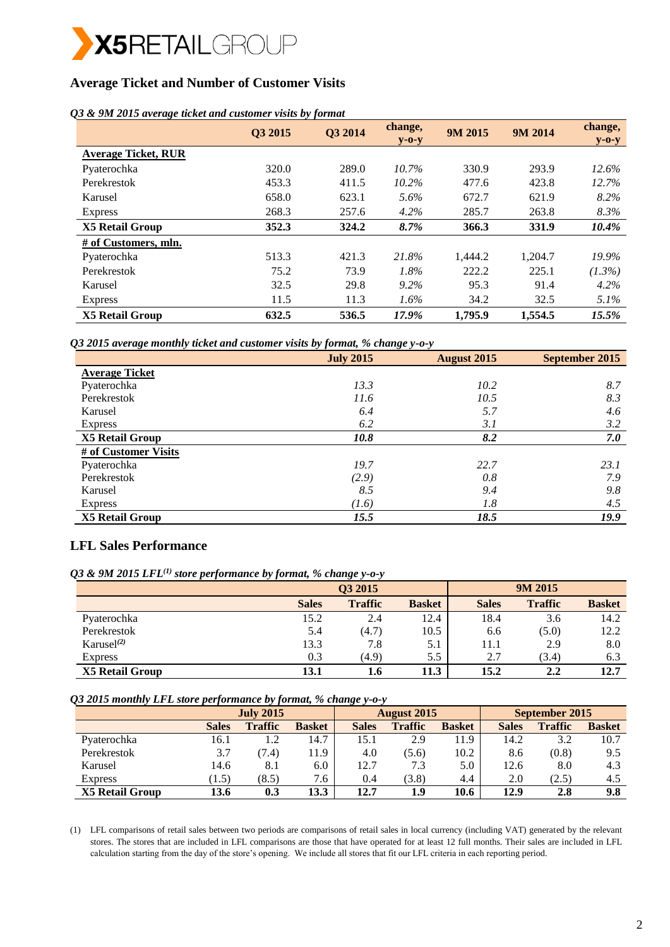

# **Average Ticket and Number of Customer Visits**

### *Q3 & 9M 2015 average ticket and customer visits by format*

|                            | Q3 2015 | Q3 2014 | change,<br>$y$ -0- $y$ | 9M 2015 | 9M 2014 | change,<br>$y$ -0- $y$ |
|----------------------------|---------|---------|------------------------|---------|---------|------------------------|
| <b>Average Ticket, RUR</b> |         |         |                        |         |         |                        |
| Pyaterochka                | 320.0   | 289.0   | 10.7%                  | 330.9   | 293.9   | $12.6\%$               |
| Perekrestok                | 453.3   | 411.5   | $10.2\%$               | 477.6   | 423.8   | 12.7%                  |
| Karusel                    | 658.0   | 623.1   | 5.6%                   | 672.7   | 621.9   | 8.2%                   |
| <b>Express</b>             | 268.3   | 257.6   | 4.2%                   | 285.7   | 263.8   | 8.3%                   |
| <b>X5 Retail Group</b>     | 352.3   | 324.2   | 8.7%                   | 366.3   | 331.9   | 10.4%                  |
| # of Customers, mln.       |         |         |                        |         |         |                        |
| Pyaterochka                | 513.3   | 421.3   | 21.8%                  | 1,444.2 | 1,204.7 | 19.9%                  |
| Perekrestok                | 75.2    | 73.9    | 1.8%                   | 222.2   | 225.1   | $(1.3\%)$              |
| Karusel                    | 32.5    | 29.8    | $9.2\%$                | 95.3    | 91.4    | $4.2\%$                |
| <b>Express</b>             | 11.5    | 11.3    | $1.6\%$                | 34.2    | 32.5    | $5.1\%$                |
| <b>X5 Retail Group</b>     | 632.5   | 536.5   | 17.9%                  | 1,795.9 | 1,554.5 | 15.5%                  |

*Q3 2015 average monthly ticket and customer visits by format, % change y-o-y*

|                        | <b>July 2015</b> | <b>August 2015</b> | September 2015 |
|------------------------|------------------|--------------------|----------------|
| <b>Average Ticket</b>  |                  |                    |                |
| Pyaterochka            | 13.3             | 10.2               | 8.7            |
| Perekrestok            | 11.6             | 10.5               | 8.3            |
| Karusel                | 6.4              | 5.7                | 4.6            |
| <b>Express</b>         | 6.2              | 3.1                | 3.2            |
| <b>X5 Retail Group</b> | 10.8             | 8.2                | 7.0            |
| # of Customer Visits   |                  |                    |                |
| Pyaterochka            | 19.7             | 22.7               | 23.1           |
| Perekrestok            | (2.9)            | 0.8                | 7.9            |
| Karusel                | 8.5              | 9.4                | 9.8            |
| <b>Express</b>         | (1.6)            | 1.8                | 4.5            |
| <b>X5 Retail Group</b> | 15.5             | 18.5               | 19.9           |

## **LFL Sales Performance**

| Q3 & 9M 2015 LFL $^{(1)}$ store performance by format, % change y-0-y |  |  |  |  |  |
|-----------------------------------------------------------------------|--|--|--|--|--|
|-----------------------------------------------------------------------|--|--|--|--|--|

|                        | ັ            | . .                 |               |              |                |               |
|------------------------|--------------|---------------------|---------------|--------------|----------------|---------------|
|                        |              | O <sub>3</sub> 2015 |               |              | 9M 2015        |               |
|                        | <b>Sales</b> | <b>Traffic</b>      | <b>Basket</b> | <b>Sales</b> | <b>Traffic</b> | <b>Basket</b> |
| Pyaterochka            | 15.2         | 2.4                 | 12.4          | 18.4         | 3.6            | 14.2          |
| Perekrestok            | 5.4          | (4.7)               | 10.5          | 6.6          | (5.0)          | 12.2          |
| Karusel $^{(2)}$       | 13.3         | 7.8                 | 5.1           | 11.1         | 2.9            | 8.0           |
| <b>Express</b>         | 0.3          | (4.9)               | 5.5           | 2.7          | (3.4)          | 6.3           |
| <b>X5 Retail Group</b> | 13.1         | 1.6                 | 11.3          | 15.2         | $2.2\,$        | 12.7          |

*Q3 2015 monthly LFL store performance by format, % change y-o-y*

|                        |              | <b>July 2015</b> |               |              | <b>August 2015</b> |               |              | September 2015 |               |  |
|------------------------|--------------|------------------|---------------|--------------|--------------------|---------------|--------------|----------------|---------------|--|
|                        | <b>Sales</b> | <b>Traffic</b>   | <b>Basket</b> | <b>Sales</b> | <b>Traffic</b>     | <b>Basket</b> | <b>Sales</b> | <b>Traffic</b> | <b>Basket</b> |  |
| Pyaterochka            | 16.1         | 1.2              | 14.7          | 15.1         | 2.9                | 11.9          | 14.2         | 3.2            | 10.7          |  |
| Perekrestok            | 3.7          | (7.4)            | 11.9          | 4.0          | (5.6)              | 10.2          | 8.6          | (0.8)          | 9.5           |  |
| Karusel                | 14.6         | 8.1              | 6.0           | 12.7         | 7.3                | 5.0           | 12.6         | 8.0            | 4.3           |  |
| <b>Express</b>         | (1.5)        | (8.5)            | 7.6           | 0.4          | (3.8)              | 4.4           | 2.0          | (2.5)          | 4.5           |  |
| <b>X5 Retail Group</b> | 13.6         | 0.3              | 13.3          | 12.7         | 1.9                | 10.6          | 12.9         | 2.8            | 9.8           |  |

(1) LFL comparisons of retail sales between two periods are comparisons of retail sales in local currency (including VAT) generated by the relevant stores. The stores that are included in LFL comparisons are those that have operated for at least 12 full months. Their sales are included in LFL calculation starting from the day of the store's opening. We include all stores that fit our LFL criteria in each reporting period.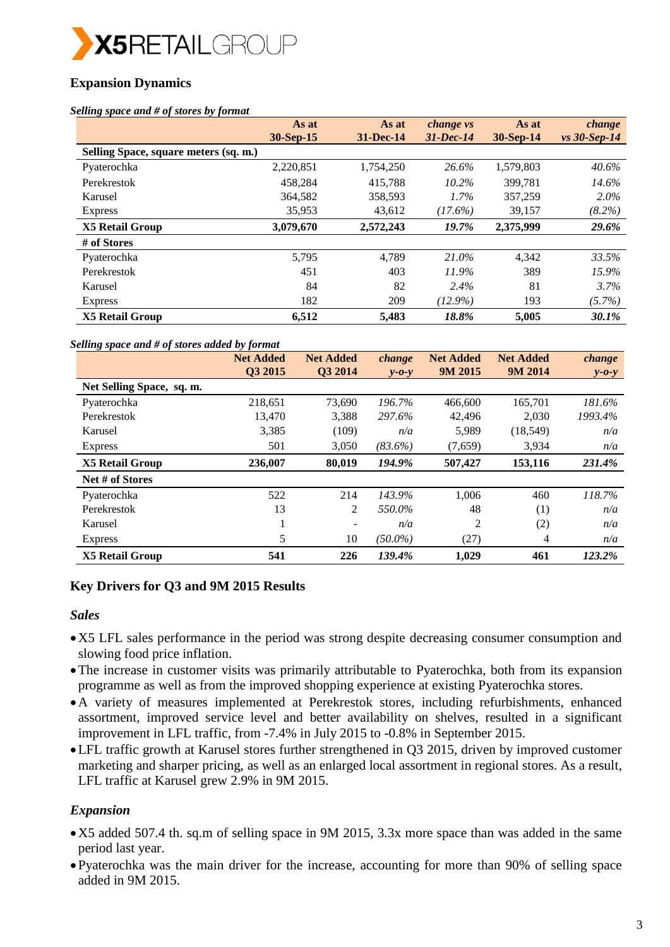

# **Expansion Dynamics**

#### *Selling space and # of stores by format*

|                                       | As at<br>30-Sep-15 | As at<br>31-Dec-14 | change vs<br>$31$ -Dec-14 | As at<br>30-Sep-14 | change<br>$vs$ 30-Sep-14 |
|---------------------------------------|--------------------|--------------------|---------------------------|--------------------|--------------------------|
| Selling Space, square meters (sq. m.) |                    |                    |                           |                    |                          |
| Pyaterochka                           | 2,220,851          | 1,754,250          | 26.6%                     | 1,579,803          | 40.6%                    |
| Perekrestok                           | 458,284            | 415,788            | $10.2\%$                  | 399.781            | 14.6%                    |
| Karusel                               | 364,582            | 358,593            | $1.7\%$                   | 357,259            | $2.0\%$                  |
| <b>Express</b>                        | 35,953             | 43,612             | $(17.6\%)$                | 39,157             | $(8.2\%)$                |
| <b>X5 Retail Group</b>                | 3,079,670          | 2,572,243          | 19.7%                     | 2,375,999          | 29.6%                    |
| # of Stores                           |                    |                    |                           |                    |                          |
| Pyaterochka                           | 5,795              | 4.789              | 21.0%                     | 4.342              | 33.5%                    |
| Perekrestok                           | 451                | 403                | 11.9%                     | 389                | 15.9%                    |
| Karusel                               | 84                 | 82                 | 2.4%                      | 81                 | 3.7%                     |
| <b>Express</b>                        | 182                | 209                | $(12.9\%)$                | 193                | $(5.7\%)$                |
| <b>X5 Retail Group</b>                | 6,512              | 5,483              | 18.8%                     | 5,005              | 30.1%                    |

#### *Selling space and # of stores added by format*

|                           | <b>Net Added</b><br>Q3 2015 | <b>Net Added</b><br>Q3 2014 | change<br>$v - 0 - v$ | <b>Net Added</b><br>9M 2015 | <b>Net Added</b><br>9M 2014 | change<br>$y - 0 - y$ |
|---------------------------|-----------------------------|-----------------------------|-----------------------|-----------------------------|-----------------------------|-----------------------|
| Net Selling Space, sq. m. |                             |                             |                       |                             |                             |                       |
| Pyaterochka               | 218,651                     | 73,690                      | 196.7%                | 466,600                     | 165,701                     | 181.6%                |
| Perekrestok               | 13,470                      | 3,388                       | 297.6%                | 42,496                      | 2,030                       | 1993.4%               |
| Karusel                   | 3,385                       | (109)                       | n/a                   | 5,989                       | (18, 549)                   | n/a                   |
| <b>Express</b>            | 501                         | 3,050                       | $(83.6\%)$            | (7,659)                     | 3,934                       | n/a                   |
| <b>X5 Retail Group</b>    | 236,007                     | 80,019                      | 194.9%                | 507,427                     | 153,116                     | 231.4%                |
| Net # of Stores           |                             |                             |                       |                             |                             |                       |
| Pyaterochka               | 522                         | 214                         | 143.9%                | 1.006                       | 460                         | 118.7%                |
| Perekrestok               | 13                          | 2                           | 550.0%                | 48                          | (1)                         | n/a                   |
| Karusel                   |                             |                             | n/a                   | 2                           | (2)                         | n/a                   |
| <b>Express</b>            | 5                           | 10                          | $(50.0\%)$            | (27)                        | 4                           | n/a                   |
| <b>X5 Retail Group</b>    | 541                         | 226                         | 139.4%                | 1,029                       | 461                         | 123.2%                |

## **Key Drivers for Q3 and 9M 2015 Results**

### *Sales*

- X5 LFL sales performance in the period was strong despite decreasing consumer consumption and slowing food price inflation.
- The increase in customer visits was primarily attributable to Pyaterochka, both from its expansion programme as well as from the improved shopping experience at existing Pyaterochka stores.
- A variety of measures implemented at Perekrestok stores, including refurbishments, enhanced assortment, improved service level and better availability on shelves, resulted in a significant improvement in LFL traffic, from -7.4% in July 2015 to -0.8% in September 2015.
- LFL traffic growth at Karusel stores further strengthened in Q3 2015, driven by improved customer marketing and sharper pricing, as well as an enlarged local assortment in regional stores. As a result, LFL traffic at Karusel grew 2.9% in 9M 2015.

# *Expansion*

- X5 added 507.4 th. sq.m of selling space in 9M 2015, 3.3x more space than was added in the same period last year.
- Pyaterochka was the main driver for the increase, accounting for more than 90% of selling space added in 9M 2015.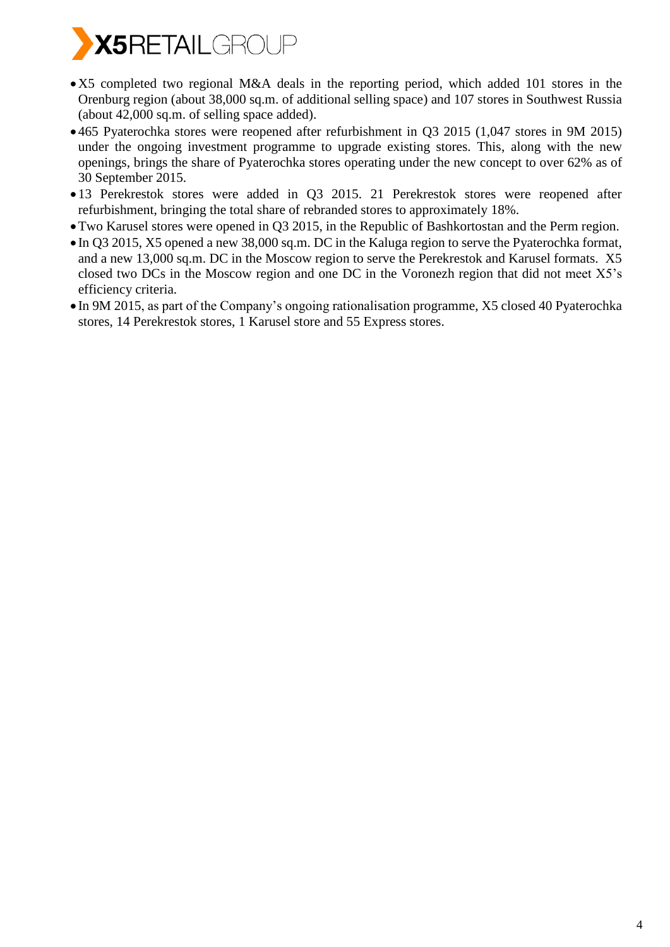

- X5 completed two regional M&A deals in the reporting period, which added 101 stores in the Orenburg region (about 38,000 sq.m. of additional selling space) and 107 stores in Southwest Russia (about 42,000 sq.m. of selling space added).
- 465 Pyaterochka stores were reopened after refurbishment in Q3 2015 (1,047 stores in 9M 2015) under the ongoing investment programme to upgrade existing stores. This, along with the new openings, brings the share of Pyaterochka stores operating under the new concept to over 62% as of 30 September 2015.
- 13 Perekrestok stores were added in Q3 2015. 21 Perekrestok stores were reopened after refurbishment, bringing the total share of rebranded stores to approximately 18%.
- Two Karusel stores were opened in Q3 2015, in the Republic of Bashkortostan and the Perm region.
- In Q3 2015, X5 opened a new 38,000 sq.m. DC in the Kaluga region to serve the Pyaterochka format, and a new 13,000 sq.m. DC in the Moscow region to serve the Perekrestok and Karusel formats. X5 closed two DCs in the Moscow region and one DC in the Voronezh region that did not meet X5's efficiency criteria.
- In 9M 2015, as part of the Company's ongoing rationalisation programme, X5 closed 40 Pyaterochka stores, 14 Perekrestok stores, 1 Karusel store and 55 Express stores.